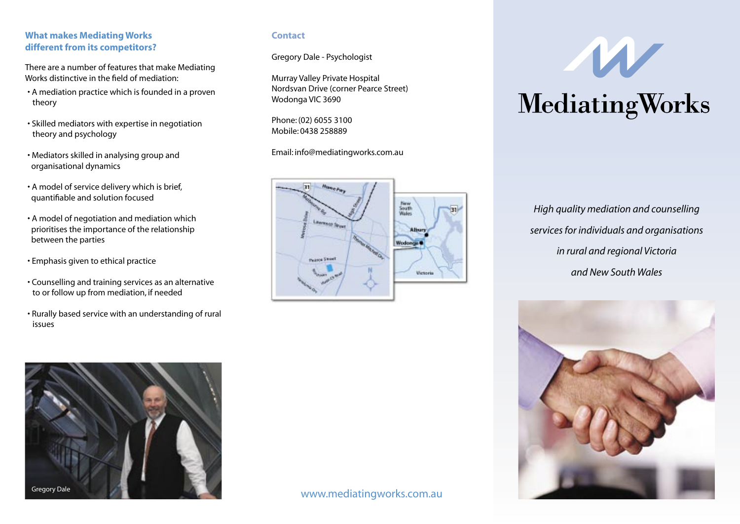### **What makes Mediating Works different from its competitors?**

There are a number of features that make Mediating Works distinctive in the field of mediation:

- A mediation practice which is founded in a proven theory
- Skilled mediators with expertise in negotiation theory and psychology
- Mediators skilled in analysing group and organisational dynamics
- A model of service delivery which is brief, quantifiable and solution focused
- A model of negotiation and mediation which prioritises the importance of the relationship between the parties
- Emphasis given to ethical practice
- Counselling and training services as an alternative to or follow up from mediation, if needed
- Rurally based service with an understanding of rural issues

### **Contact**

Gregory Dale - Psychologist

Murray Valley Private Hospital Nordsvan Drive (corner Pearce Street) Wodonga VIC 3690

Phone: (02) 6055 3100 Mobile: 0438 258889

Email: info@mediatingworks.com.au



MediatingWorks

*High quality mediation and counselling services for individuals and organisations in rural and regional Victoria and New South Wales*





www.mediatingworks.com.au